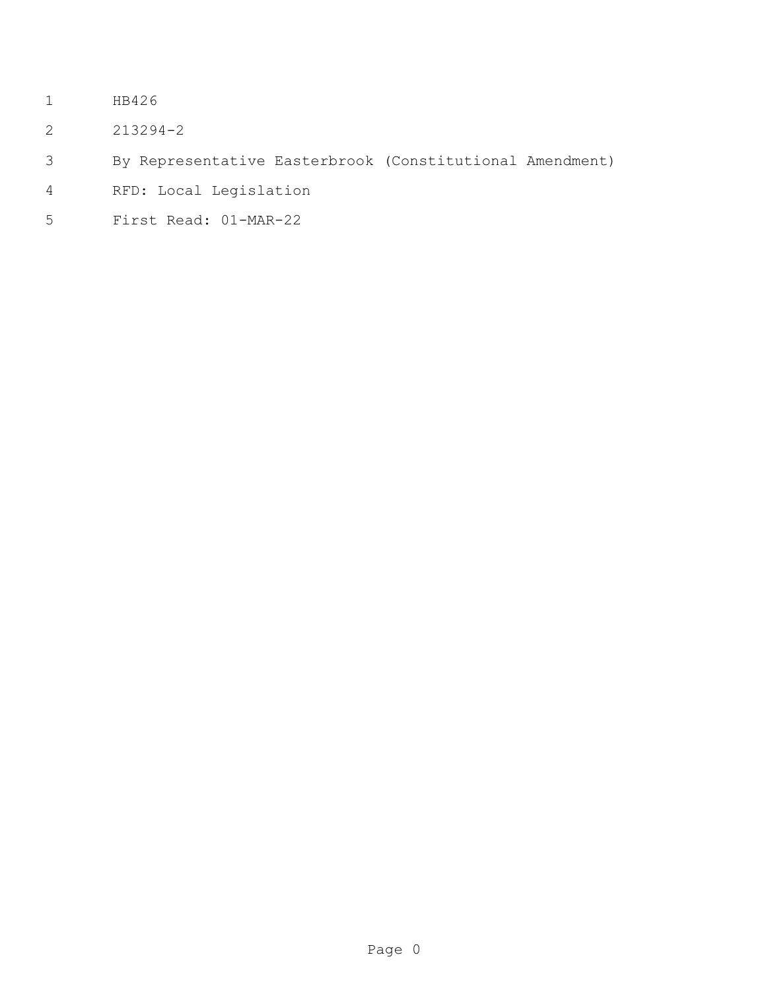- HB426
- 213294-2
- By Representative Easterbrook (Constitutional Amendment)
- RFD: Local Legislation
- First Read: 01-MAR-22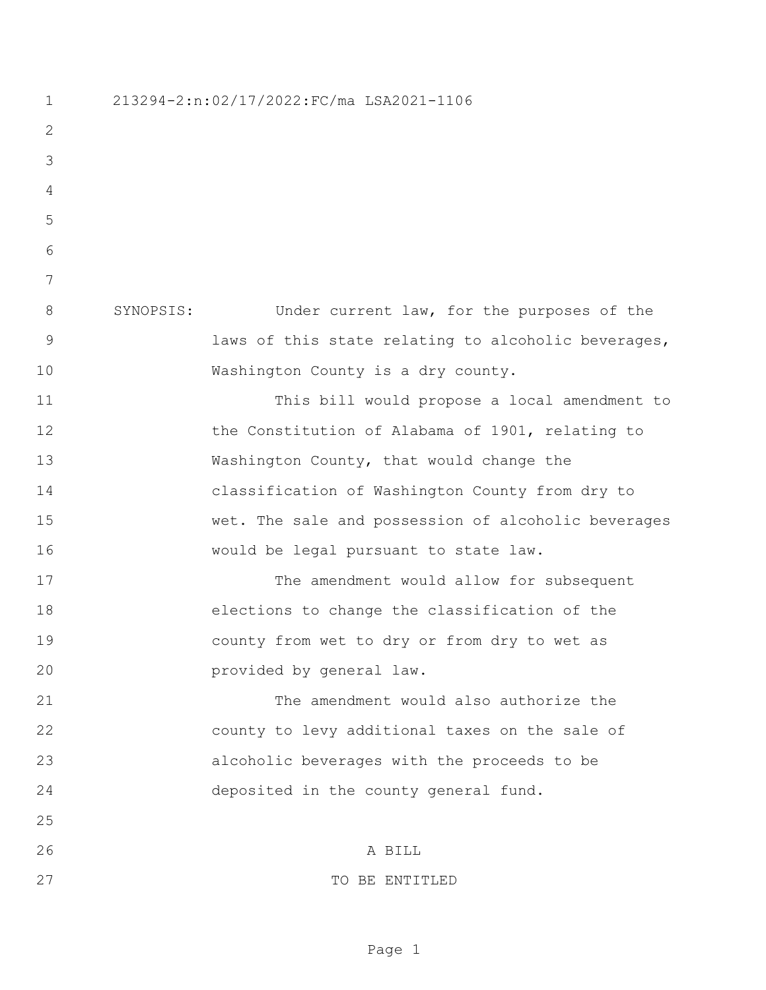213294-2:n:02/17/2022:FC/ma LSA2021-1106 SYNOPSIS: Under current law, for the purposes of the laws of this state relating to alcoholic beverages, 10 Washington County is a dry county. This bill would propose a local amendment to 12 the Constitution of Alabama of 1901, relating to 13 Washington County, that would change the classification of Washington County from dry to wet. The sale and possession of alcoholic beverages would be legal pursuant to state law. 17 The amendment would allow for subsequent elections to change the classification of the county from wet to dry or from dry to wet as provided by general law. The amendment would also authorize the county to levy additional taxes on the sale of alcoholic beverages with the proceeds to be deposited in the county general fund. A BILL 27 CONSTRUCTED TO BE ENTITLED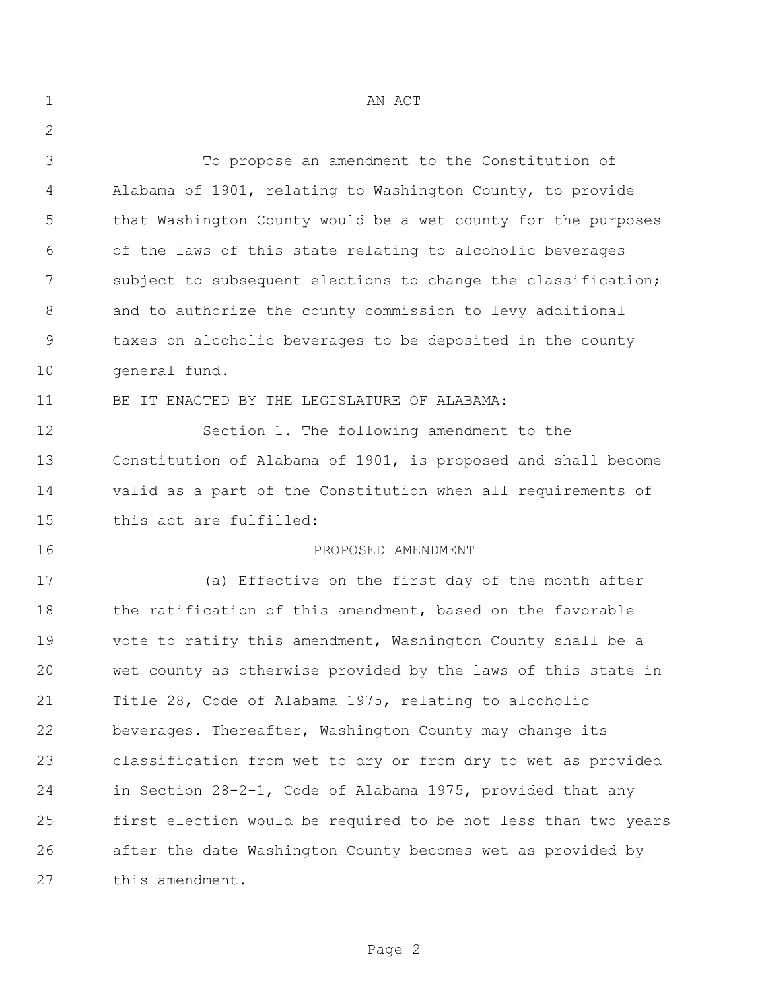| $\mathbf 1$   | AN ACT                                                         |
|---------------|----------------------------------------------------------------|
| 2             |                                                                |
| 3             | To propose an amendment to the Constitution of                 |
| 4             | Alabama of 1901, relating to Washington County, to provide     |
| 5             | that Washington County would be a wet county for the purposes  |
| 6             | of the laws of this state relating to alcoholic beverages      |
| 7             | subject to subsequent elections to change the classification;  |
| 8             | and to authorize the county commission to levy additional      |
| $\mathcal{G}$ | taxes on alcoholic beverages to be deposited in the county     |
| 10            | general fund.                                                  |
| 11            | BE IT ENACTED BY THE LEGISLATURE OF ALABAMA:                   |
| 12            | Section 1. The following amendment to the                      |
| 13            | Constitution of Alabama of 1901, is proposed and shall become  |
| 14            | valid as a part of the Constitution when all requirements of   |
| 15            | this act are fulfilled:                                        |
| 16            | PROPOSED AMENDMENT                                             |
| 17            | (a) Effective on the first day of the month after              |
| 18            | the ratification of this amendment, based on the favorable     |
| 19            | vote to ratify this amendment, Washington County shall be a    |
| 20            | wet county as otherwise provided by the laws of this state in  |
| 21            | Title 28, Code of Alabama 1975, relating to alcoholic          |
| 22            | beverages. Thereafter, Washington County may change its        |
| 23            | classification from wet to dry or from dry to wet as provided  |
| 24            | in Section 28-2-1, Code of Alabama 1975, provided that any     |
| 25            | first election would be required to be not less than two years |
| 26            | after the date Washington County becomes wet as provided by    |
| 27            | this amendment.                                                |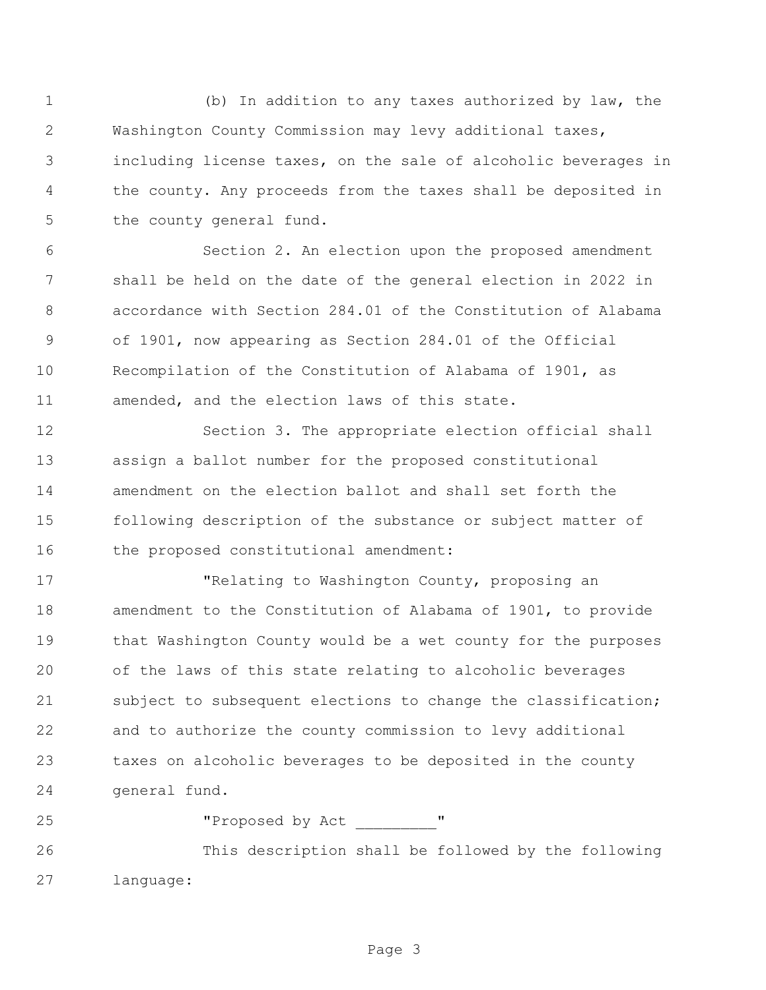(b) In addition to any taxes authorized by law, the Washington County Commission may levy additional taxes, including license taxes, on the sale of alcoholic beverages in the county. Any proceeds from the taxes shall be deposited in 5 the county general fund.

 Section 2. An election upon the proposed amendment shall be held on the date of the general election in 2022 in accordance with Section 284.01 of the Constitution of Alabama of 1901, now appearing as Section 284.01 of the Official Recompilation of the Constitution of Alabama of 1901, as amended, and the election laws of this state.

 Section 3. The appropriate election official shall assign a ballot number for the proposed constitutional amendment on the election ballot and shall set forth the following description of the substance or subject matter of the proposed constitutional amendment:

 "Relating to Washington County, proposing an amendment to the Constitution of Alabama of 1901, to provide that Washington County would be a wet county for the purposes of the laws of this state relating to alcoholic beverages subject to subsequent elections to change the classification; and to authorize the county commission to levy additional taxes on alcoholic beverages to be deposited in the county general fund.

25 "Proposed by Act"

 This description shall be followed by the following language: